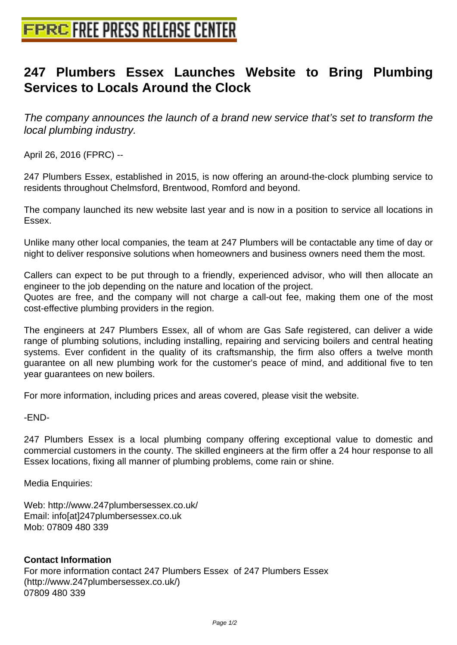## **[247 Plumbers Essex Launches](http://www.free-press-release-center.info) Website to Bring Plumbing Services to Locals Around the Clock**

The company announces the launch of a brand new service that's set to transform the local plumbing industry.

April 26, 2016 (FPRC) --

247 Plumbers Essex, established in 2015, is now offering an around-the-clock plumbing service to residents throughout Chelmsford, Brentwood, Romford and beyond.

The company launched its new website last year and is now in a position to service all locations in Essex.

Unlike many other local companies, the team at 247 Plumbers will be contactable any time of day or night to deliver responsive solutions when homeowners and business owners need them the most.

Callers can expect to be put through to a friendly, experienced advisor, who will then allocate an engineer to the job depending on the nature and location of the project. Quotes are free, and the company will not charge a call-out fee, making them one of the most

cost-effective plumbing providers in the region.

The engineers at 247 Plumbers Essex, all of whom are Gas Safe registered, can deliver a wide range of plumbing solutions, including installing, repairing and servicing boilers and central heating systems. Ever confident in the quality of its craftsmanship, the firm also offers a twelve month guarantee on all new plumbing work for the customer's peace of mind, and additional five to ten year guarantees on new boilers.

For more information, including prices and areas covered, please visit the website.

-END-

247 Plumbers Essex is a local plumbing company offering exceptional value to domestic and commercial customers in the county. The skilled engineers at the firm offer a 24 hour response to all Essex locations, fixing all manner of plumbing problems, come rain or shine.

Media Enquiries:

Web: http://www.247plumbersessex.co.uk/ Email: info[at]247plumbersessex.co.uk Mob: 07809 480 339

## **Contact Information**

For more information contact 247 Plumbers Essex of 247 Plumbers Essex (http://www.247plumbersessex.co.uk/) 07809 480 339